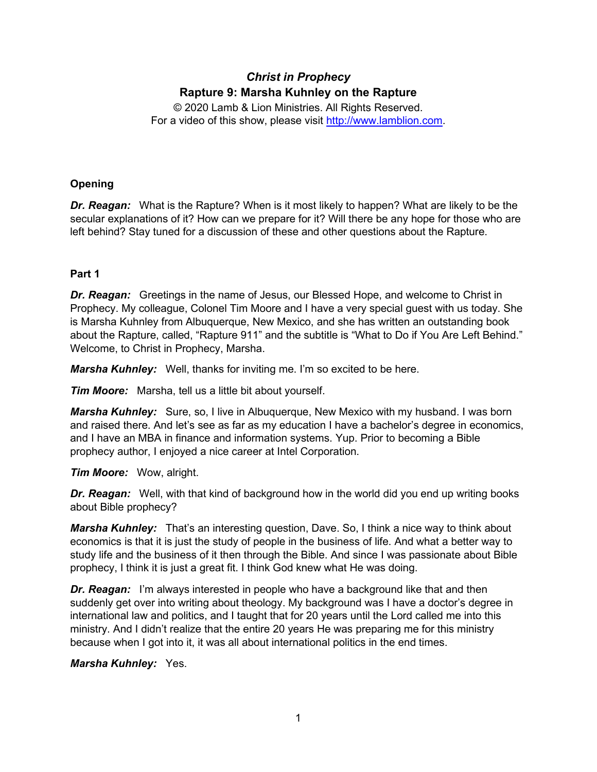# *Christ in Prophecy* **Rapture 9: Marsha Kuhnley on the Rapture**

© 2020 Lamb & Lion Ministries. All Rights Reserved. For a video of this show, please visit [http://www.lamblion.com.](http://www.lamblion.com/)

## **Opening**

*Dr. Reagan:* What is the Rapture? When is it most likely to happen? What are likely to be the secular explanations of it? How can we prepare for it? Will there be any hope for those who are left behind? Stay tuned for a discussion of these and other questions about the Rapture.

## **Part 1**

*Dr. Reagan:* Greetings in the name of Jesus, our Blessed Hope, and welcome to Christ in Prophecy. My colleague, Colonel Tim Moore and I have a very special guest with us today. She is Marsha Kuhnley from Albuquerque, New Mexico, and she has written an outstanding book about the Rapture, called, "Rapture 911" and the subtitle is "What to Do if You Are Left Behind." Welcome, to Christ in Prophecy, Marsha.

*Marsha Kuhnley:* Well, thanks for inviting me. I'm so excited to be here.

*Tim Moore:* Marsha, tell us a little bit about yourself.

*Marsha Kuhnley:* Sure, so, I live in Albuquerque, New Mexico with my husband. I was born and raised there. And let's see as far as my education I have a bachelor's degree in economics, and I have an MBA in finance and information systems. Yup. Prior to becoming a Bible prophecy author, I enjoyed a nice career at Intel Corporation.

*Tim Moore:* Wow, alright.

*Dr. Reagan:* Well, with that kind of background how in the world did you end up writing books about Bible prophecy?

*Marsha Kuhnley:* That's an interesting question, Dave. So, I think a nice way to think about economics is that it is just the study of people in the business of life. And what a better way to study life and the business of it then through the Bible. And since I was passionate about Bible prophecy, I think it is just a great fit. I think God knew what He was doing.

*Dr. Reagan:* I'm always interested in people who have a background like that and then suddenly get over into writing about theology. My background was I have a doctor's degree in international law and politics, and I taught that for 20 years until the Lord called me into this ministry. And I didn't realize that the entire 20 years He was preparing me for this ministry because when I got into it, it was all about international politics in the end times.

## *Marsha Kuhnley:* Yes.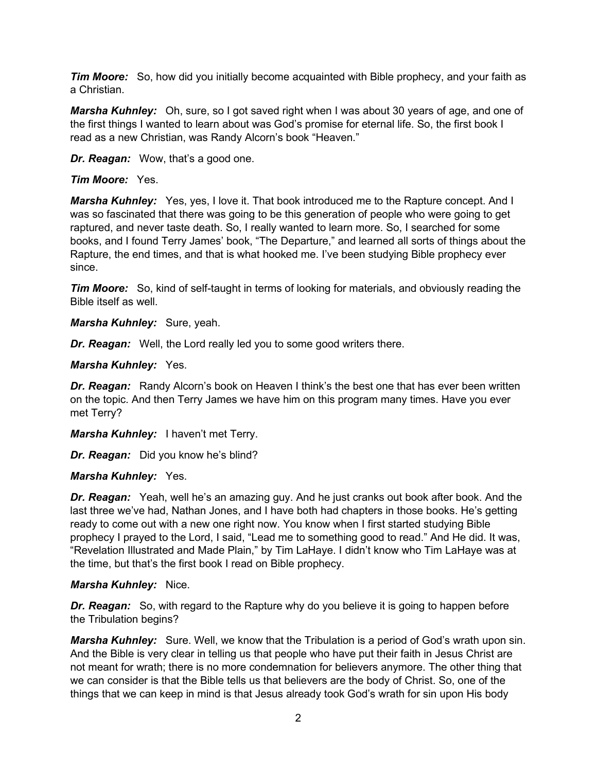*Tim Moore:* So, how did you initially become acquainted with Bible prophecy, and your faith as a Christian.

*Marsha Kuhnley:* Oh, sure, so I got saved right when I was about 30 years of age, and one of the first things I wanted to learn about was God's promise for eternal life. So, the first book I read as a new Christian, was Randy Alcorn's book "Heaven."

*Dr. Reagan:* Wow, that's a good one.

#### *Tim Moore:* Yes.

*Marsha Kuhnley:* Yes, yes, I love it. That book introduced me to the Rapture concept. And I was so fascinated that there was going to be this generation of people who were going to get raptured, and never taste death. So, I really wanted to learn more. So, I searched for some books, and I found Terry James' book, "The Departure," and learned all sorts of things about the Rapture, the end times, and that is what hooked me. I've been studying Bible prophecy ever since.

*Tim Moore:* So, kind of self-taught in terms of looking for materials, and obviously reading the Bible itself as well.

*Marsha Kuhnley:* Sure, yeah.

*Dr. Reagan:* Well, the Lord really led you to some good writers there.

#### *Marsha Kuhnley:* Yes.

*Dr. Reagan:* Randy Alcorn's book on Heaven I think's the best one that has ever been written on the topic. And then Terry James we have him on this program many times. Have you ever met Terry?

*Marsha Kuhnley:* I haven't met Terry.

*Dr. Reagan:* Did you know he's blind?

#### *Marsha Kuhnley:* Yes.

*Dr. Reagan:* Yeah, well he's an amazing guy. And he just cranks out book after book. And the last three we've had, Nathan Jones, and I have both had chapters in those books. He's getting ready to come out with a new one right now. You know when I first started studying Bible prophecy I prayed to the Lord, I said, "Lead me to something good to read." And He did. It was, "Revelation Illustrated and Made Plain," by Tim LaHaye. I didn't know who Tim LaHaye was at the time, but that's the first book I read on Bible prophecy.

#### *Marsha Kuhnley:* Nice.

**Dr. Reagan:** So, with regard to the Rapture why do you believe it is going to happen before the Tribulation begins?

*Marsha Kuhnley:* Sure. Well, we know that the Tribulation is a period of God's wrath upon sin. And the Bible is very clear in telling us that people who have put their faith in Jesus Christ are not meant for wrath; there is no more condemnation for believers anymore. The other thing that we can consider is that the Bible tells us that believers are the body of Christ. So, one of the things that we can keep in mind is that Jesus already took God's wrath for sin upon His body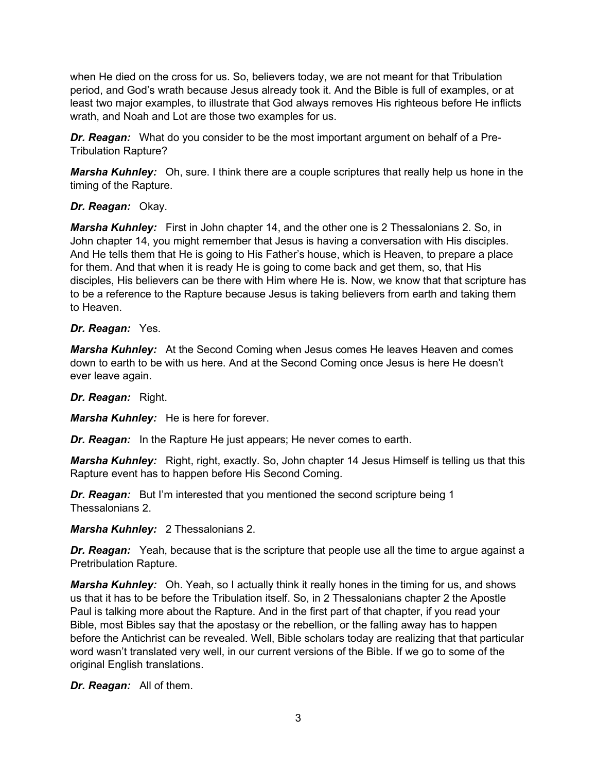when He died on the cross for us. So, believers today, we are not meant for that Tribulation period, and God's wrath because Jesus already took it. And the Bible is full of examples, or at least two major examples, to illustrate that God always removes His righteous before He inflicts wrath, and Noah and Lot are those two examples for us.

*Dr. Reagan:* What do you consider to be the most important argument on behalf of a Pre-Tribulation Rapture?

*Marsha Kuhnley:* Oh, sure. I think there are a couple scriptures that really help us hone in the timing of the Rapture.

#### *Dr. Reagan:* Okay.

*Marsha Kuhnley:* First in John chapter 14, and the other one is 2 Thessalonians 2. So, in John chapter 14, you might remember that Jesus is having a conversation with His disciples. And He tells them that He is going to His Father's house, which is Heaven, to prepare a place for them. And that when it is ready He is going to come back and get them, so, that His disciples, His believers can be there with Him where He is. Now, we know that that scripture has to be a reference to the Rapture because Jesus is taking believers from earth and taking them to Heaven.

## *Dr. Reagan:* Yes.

*Marsha Kuhnley:* At the Second Coming when Jesus comes He leaves Heaven and comes down to earth to be with us here. And at the Second Coming once Jesus is here He doesn't ever leave again.

#### *Dr. Reagan:* Right.

*Marsha Kuhnley:* He is here for forever.

*Dr. Reagan:* In the Rapture He just appears; He never comes to earth.

*Marsha Kuhnley:* Right, right, exactly. So, John chapter 14 Jesus Himself is telling us that this Rapture event has to happen before His Second Coming.

*Dr. Reagan:* But I'm interested that you mentioned the second scripture being 1 Thessalonians 2.

*Marsha Kuhnley:* 2 Thessalonians 2.

*Dr. Reagan:* Yeah, because that is the scripture that people use all the time to argue against a Pretribulation Rapture.

**Marsha Kuhnley:** Oh. Yeah, so I actually think it really hones in the timing for us, and shows us that it has to be before the Tribulation itself. So, in 2 Thessalonians chapter 2 the Apostle Paul is talking more about the Rapture. And in the first part of that chapter, if you read your Bible, most Bibles say that the apostasy or the rebellion, or the falling away has to happen before the Antichrist can be revealed. Well, Bible scholars today are realizing that that particular word wasn't translated very well, in our current versions of the Bible. If we go to some of the original English translations.

*Dr. Reagan:* All of them.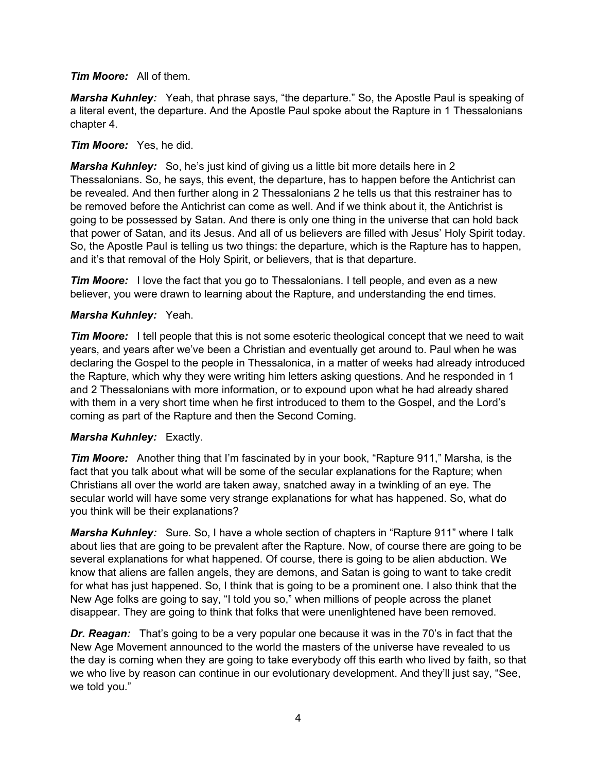*Tim Moore:* All of them.

*Marsha Kuhnley:* Yeah, that phrase says, "the departure." So, the Apostle Paul is speaking of a literal event, the departure. And the Apostle Paul spoke about the Rapture in 1 Thessalonians chapter 4.

### *Tim Moore:* Yes, he did.

*Marsha Kuhnley:* So, he's just kind of giving us a little bit more details here in 2 Thessalonians. So, he says, this event, the departure, has to happen before the Antichrist can be revealed. And then further along in 2 Thessalonians 2 he tells us that this restrainer has to be removed before the Antichrist can come as well. And if we think about it, the Antichrist is going to be possessed by Satan. And there is only one thing in the universe that can hold back that power of Satan, and its Jesus. And all of us believers are filled with Jesus' Holy Spirit today. So, the Apostle Paul is telling us two things: the departure, which is the Rapture has to happen, and it's that removal of the Holy Spirit, or believers, that is that departure.

*Tim Moore:* I love the fact that you go to Thessalonians. I tell people, and even as a new believer, you were drawn to learning about the Rapture, and understanding the end times.

#### *Marsha Kuhnley:* Yeah.

*Tim Moore:* I tell people that this is not some esoteric theological concept that we need to wait years, and years after we've been a Christian and eventually get around to. Paul when he was declaring the Gospel to the people in Thessalonica, in a matter of weeks had already introduced the Rapture, which why they were writing him letters asking questions. And he responded in 1 and 2 Thessalonians with more information, or to expound upon what he had already shared with them in a very short time when he first introduced to them to the Gospel, and the Lord's coming as part of the Rapture and then the Second Coming.

#### *Marsha Kuhnley:* Exactly.

*Tim Moore:* Another thing that I'm fascinated by in your book, "Rapture 911," Marsha, is the fact that you talk about what will be some of the secular explanations for the Rapture; when Christians all over the world are taken away, snatched away in a twinkling of an eye. The secular world will have some very strange explanations for what has happened. So, what do you think will be their explanations?

*Marsha Kuhnley:* Sure. So, I have a whole section of chapters in "Rapture 911" where I talk about lies that are going to be prevalent after the Rapture. Now, of course there are going to be several explanations for what happened. Of course, there is going to be alien abduction. We know that aliens are fallen angels, they are demons, and Satan is going to want to take credit for what has just happened. So, I think that is going to be a prominent one. I also think that the New Age folks are going to say, "I told you so," when millions of people across the planet disappear. They are going to think that folks that were unenlightened have been removed.

*Dr. Reagan:* That's going to be a very popular one because it was in the 70's in fact that the New Age Movement announced to the world the masters of the universe have revealed to us the day is coming when they are going to take everybody off this earth who lived by faith, so that we who live by reason can continue in our evolutionary development. And they'll just say, "See, we told you."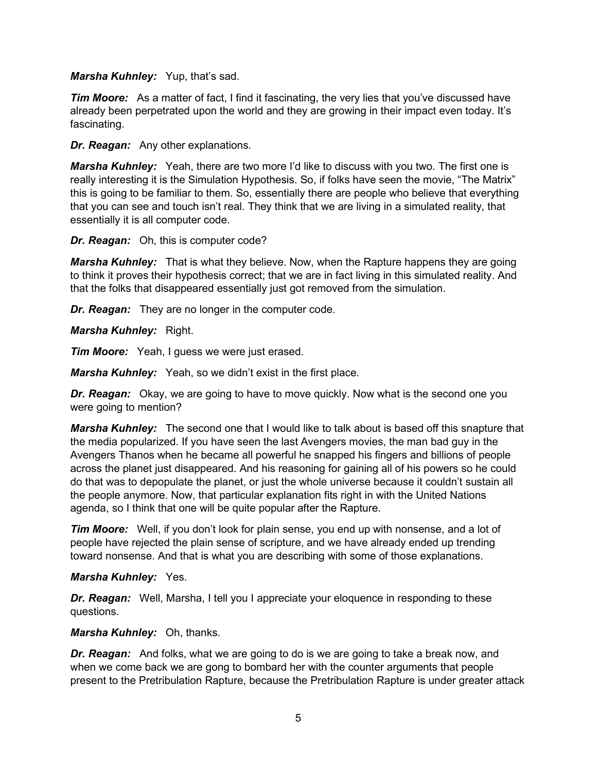*Marsha Kuhnley:* Yup, that's sad.

*Tim Moore:* As a matter of fact, I find it fascinating, the very lies that you've discussed have already been perpetrated upon the world and they are growing in their impact even today. It's fascinating.

*Dr. Reagan:* Any other explanations.

*Marsha Kuhnley:* Yeah, there are two more I'd like to discuss with you two. The first one is really interesting it is the Simulation Hypothesis. So, if folks have seen the movie, "The Matrix" this is going to be familiar to them. So, essentially there are people who believe that everything that you can see and touch isn't real. They think that we are living in a simulated reality, that essentially it is all computer code.

*Dr. Reagan:* Oh, this is computer code?

*Marsha Kuhnley:* That is what they believe. Now, when the Rapture happens they are going to think it proves their hypothesis correct; that we are in fact living in this simulated reality. And that the folks that disappeared essentially just got removed from the simulation.

*Dr. Reagan:* They are no longer in the computer code.

*Marsha Kuhnley:* Right.

*Tim Moore:* Yeah, I guess we were just erased.

*Marsha Kuhnley:* Yeah, so we didn't exist in the first place.

*Dr. Reagan:* Okay, we are going to have to move quickly. Now what is the second one you were going to mention?

*Marsha Kuhnley:* The second one that I would like to talk about is based off this snapture that the media popularized. If you have seen the last Avengers movies, the man bad guy in the Avengers Thanos when he became all powerful he snapped his fingers and billions of people across the planet just disappeared. And his reasoning for gaining all of his powers so he could do that was to depopulate the planet, or just the whole universe because it couldn't sustain all the people anymore. Now, that particular explanation fits right in with the United Nations agenda, so I think that one will be quite popular after the Rapture.

*Tim Moore:* Well, if you don't look for plain sense, you end up with nonsense, and a lot of people have rejected the plain sense of scripture, and we have already ended up trending toward nonsense. And that is what you are describing with some of those explanations.

*Marsha Kuhnley:* Yes.

*Dr. Reagan:* Well, Marsha, I tell you I appreciate your eloquence in responding to these questions.

*Marsha Kuhnley:* Oh, thanks.

*Dr. Reagan:* And folks, what we are going to do is we are going to take a break now, and when we come back we are gong to bombard her with the counter arguments that people present to the Pretribulation Rapture, because the Pretribulation Rapture is under greater attack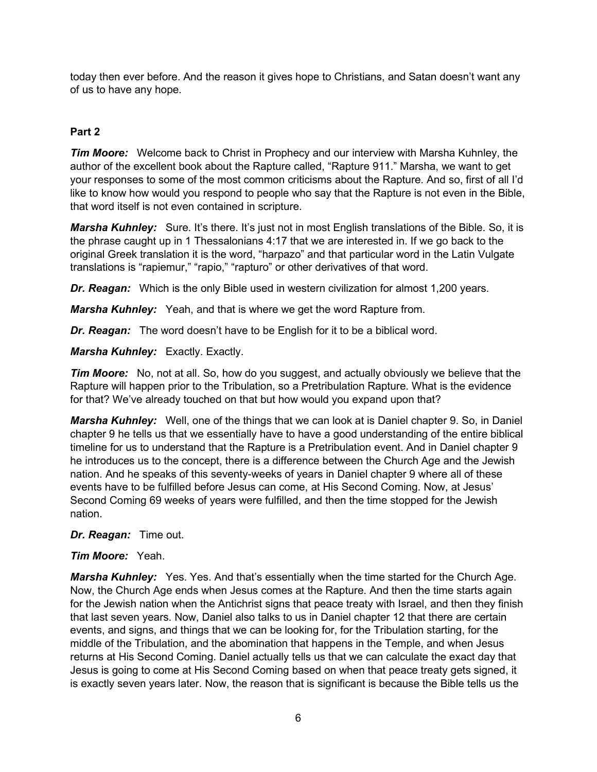today then ever before. And the reason it gives hope to Christians, and Satan doesn't want any of us to have any hope.

## **Part 2**

*Tim Moore:* Welcome back to Christ in Prophecy and our interview with Marsha Kuhnley, the author of the excellent book about the Rapture called, "Rapture 911." Marsha, we want to get your responses to some of the most common criticisms about the Rapture. And so, first of all I'd like to know how would you respond to people who say that the Rapture is not even in the Bible, that word itself is not even contained in scripture.

*Marsha Kuhnley:* Sure. It's there. It's just not in most English translations of the Bible. So, it is the phrase caught up in 1 Thessalonians 4:17 that we are interested in. If we go back to the original Greek translation it is the word, "harpazo" and that particular word in the Latin Vulgate translations is "rapiemur," "rapio," "rapturo" or other derivatives of that word.

*Dr. Reagan:* Which is the only Bible used in western civilization for almost 1,200 years.

*Marsha Kuhnley:* Yeah, and that is where we get the word Rapture from.

*Dr. Reagan:* The word doesn't have to be English for it to be a biblical word.

*Marsha Kuhnley:* Exactly. Exactly.

*Tim Moore:* No, not at all. So, how do you suggest, and actually obviously we believe that the Rapture will happen prior to the Tribulation, so a Pretribulation Rapture. What is the evidence for that? We've already touched on that but how would you expand upon that?

*Marsha Kuhnley:* Well, one of the things that we can look at is Daniel chapter 9. So, in Daniel chapter 9 he tells us that we essentially have to have a good understanding of the entire biblical timeline for us to understand that the Rapture is a Pretribulation event. And in Daniel chapter 9 he introduces us to the concept, there is a difference between the Church Age and the Jewish nation. And he speaks of this seventy-weeks of years in Daniel chapter 9 where all of these events have to be fulfilled before Jesus can come, at His Second Coming. Now, at Jesus' Second Coming 69 weeks of years were fulfilled, and then the time stopped for the Jewish nation.

*Dr. Reagan:* Time out.

#### *Tim Moore:* Yeah.

*Marsha Kuhnley:* Yes. Yes. And that's essentially when the time started for the Church Age. Now, the Church Age ends when Jesus comes at the Rapture. And then the time starts again for the Jewish nation when the Antichrist signs that peace treaty with Israel, and then they finish that last seven years. Now, Daniel also talks to us in Daniel chapter 12 that there are certain events, and signs, and things that we can be looking for, for the Tribulation starting, for the middle of the Tribulation, and the abomination that happens in the Temple, and when Jesus returns at His Second Coming. Daniel actually tells us that we can calculate the exact day that Jesus is going to come at His Second Coming based on when that peace treaty gets signed, it is exactly seven years later. Now, the reason that is significant is because the Bible tells us the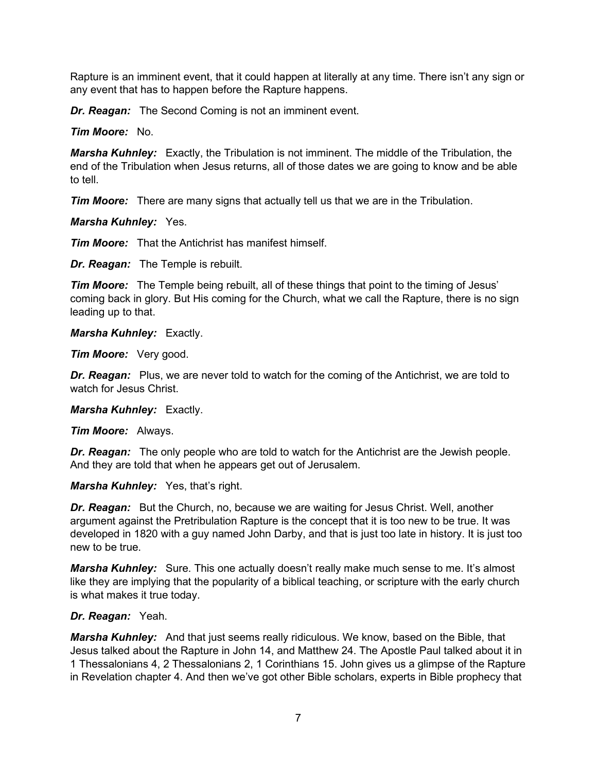Rapture is an imminent event, that it could happen at literally at any time. There isn't any sign or any event that has to happen before the Rapture happens.

*Dr. Reagan:* The Second Coming is not an imminent event.

*Tim Moore:* No.

*Marsha Kuhnley:* Exactly, the Tribulation is not imminent. The middle of the Tribulation, the end of the Tribulation when Jesus returns, all of those dates we are going to know and be able to tell.

*Tim Moore:* There are many signs that actually tell us that we are in the Tribulation.

*Marsha Kuhnley:* Yes.

*Tim Moore:* That the Antichrist has manifest himself.

*Dr. Reagan:* The Temple is rebuilt.

*Tim Moore:* The Temple being rebuilt, all of these things that point to the timing of Jesus' coming back in glory. But His coming for the Church, what we call the Rapture, there is no sign leading up to that.

*Marsha Kuhnley:* Exactly.

*Tim Moore:* Very good.

**Dr. Reagan:** Plus, we are never told to watch for the coming of the Antichrist, we are told to watch for Jesus Christ.

*Marsha Kuhnley:* Exactly.

*Tim Moore:* Always.

*Dr. Reagan:* The only people who are told to watch for the Antichrist are the Jewish people. And they are told that when he appears get out of Jerusalem.

*Marsha Kuhnley:* Yes, that's right.

*Dr. Reagan:* But the Church, no, because we are waiting for Jesus Christ. Well, another argument against the Pretribulation Rapture is the concept that it is too new to be true. It was developed in 1820 with a guy named John Darby, and that is just too late in history. It is just too new to be true.

*Marsha Kuhnley:* Sure. This one actually doesn't really make much sense to me. It's almost like they are implying that the popularity of a biblical teaching, or scripture with the early church is what makes it true today.

#### *Dr. Reagan:* Yeah.

*Marsha Kuhnley:* And that just seems really ridiculous. We know, based on the Bible, that Jesus talked about the Rapture in John 14, and Matthew 24. The Apostle Paul talked about it in 1 Thessalonians 4, 2 Thessalonians 2, 1 Corinthians 15. John gives us a glimpse of the Rapture in Revelation chapter 4. And then we've got other Bible scholars, experts in Bible prophecy that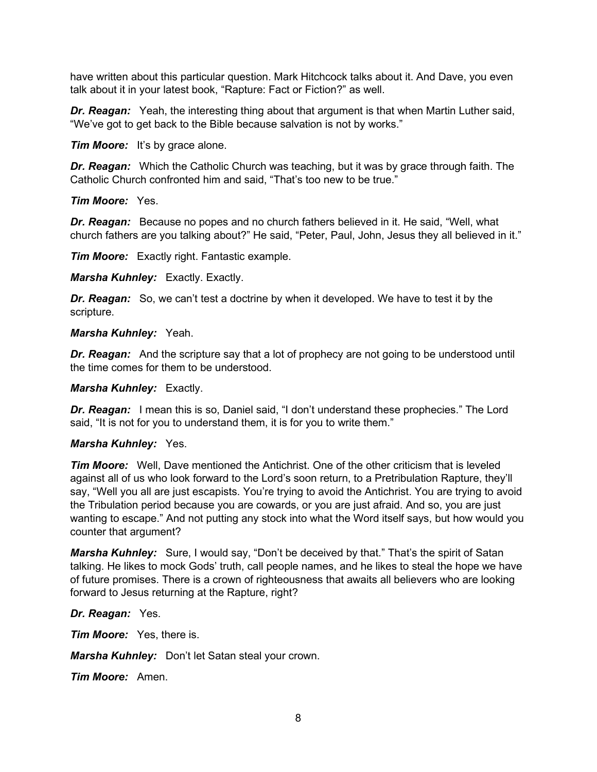have written about this particular question. Mark Hitchcock talks about it. And Dave, you even talk about it in your latest book, "Rapture: Fact or Fiction?" as well.

*Dr. Reagan:* Yeah, the interesting thing about that argument is that when Martin Luther said, "We've got to get back to the Bible because salvation is not by works."

*Tim Moore:* It's by grace alone.

*Dr. Reagan:* Which the Catholic Church was teaching, but it was by grace through faith. The Catholic Church confronted him and said, "That's too new to be true."

*Tim Moore:* Yes.

*Dr. Reagan:* Because no popes and no church fathers believed in it. He said, "Well, what church fathers are you talking about?" He said, "Peter, Paul, John, Jesus they all believed in it."

*Tim Moore:* Exactly right. Fantastic example.

*Marsha Kuhnley:* Exactly. Exactly.

*Dr. Reagan:* So, we can't test a doctrine by when it developed. We have to test it by the scripture.

*Marsha Kuhnley:* Yeah.

*Dr. Reagan:* And the scripture say that a lot of prophecy are not going to be understood until the time comes for them to be understood.

*Marsha Kuhnley:* Exactly.

*Dr. Reagan:* I mean this is so, Daniel said, "I don't understand these prophecies." The Lord said, "It is not for you to understand them, it is for you to write them."

#### *Marsha Kuhnley:* Yes.

*Tim Moore:* Well, Dave mentioned the Antichrist. One of the other criticism that is leveled against all of us who look forward to the Lord's soon return, to a Pretribulation Rapture, they'll say, "Well you all are just escapists. You're trying to avoid the Antichrist. You are trying to avoid the Tribulation period because you are cowards, or you are just afraid. And so, you are just wanting to escape." And not putting any stock into what the Word itself says, but how would you counter that argument?

*Marsha Kuhnley:* Sure, I would say, "Don't be deceived by that." That's the spirit of Satan talking. He likes to mock Gods' truth, call people names, and he likes to steal the hope we have of future promises. There is a crown of righteousness that awaits all believers who are looking forward to Jesus returning at the Rapture, right?

*Dr. Reagan:* Yes.

*Tim Moore:* Yes, there is.

*Marsha Kuhnley:* Don't let Satan steal your crown.

*Tim Moore:* Amen.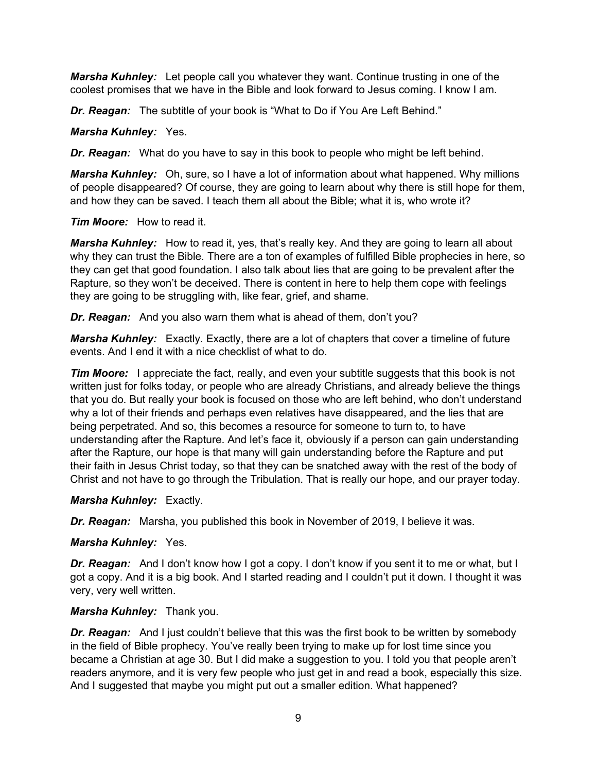*Marsha Kuhnley:* Let people call you whatever they want. Continue trusting in one of the coolest promises that we have in the Bible and look forward to Jesus coming. I know I am.

*Dr. Reagan:* The subtitle of your book is "What to Do if You Are Left Behind."

*Marsha Kuhnley:* Yes.

*Dr. Reagan:* What do you have to say in this book to people who might be left behind.

*Marsha Kuhnley:* Oh, sure, so I have a lot of information about what happened. Why millions of people disappeared? Of course, they are going to learn about why there is still hope for them, and how they can be saved. I teach them all about the Bible; what it is, who wrote it?

*Tim Moore:* How to read it.

*Marsha Kuhnley:* How to read it, yes, that's really key. And they are going to learn all about why they can trust the Bible. There are a ton of examples of fulfilled Bible prophecies in here, so they can get that good foundation. I also talk about lies that are going to be prevalent after the Rapture, so they won't be deceived. There is content in here to help them cope with feelings they are going to be struggling with, like fear, grief, and shame.

*Dr. Reagan:* And you also warn them what is ahead of them, don't you?

*Marsha Kuhnley:* Exactly. Exactly, there are a lot of chapters that cover a timeline of future events. And I end it with a nice checklist of what to do.

*Tim Moore:* I appreciate the fact, really, and even your subtitle suggests that this book is not written just for folks today, or people who are already Christians, and already believe the things that you do. But really your book is focused on those who are left behind, who don't understand why a lot of their friends and perhaps even relatives have disappeared, and the lies that are being perpetrated. And so, this becomes a resource for someone to turn to, to have understanding after the Rapture. And let's face it, obviously if a person can gain understanding after the Rapture, our hope is that many will gain understanding before the Rapture and put their faith in Jesus Christ today, so that they can be snatched away with the rest of the body of Christ and not have to go through the Tribulation. That is really our hope, and our prayer today.

*Marsha Kuhnley:* Exactly.

*Dr. Reagan:* Marsha, you published this book in November of 2019, I believe it was.

*Marsha Kuhnley:* Yes.

**Dr. Reagan:** And I don't know how I got a copy. I don't know if you sent it to me or what, but I got a copy. And it is a big book. And I started reading and I couldn't put it down. I thought it was very, very well written.

*Marsha Kuhnley:* Thank you.

**Dr. Reagan:** And I just couldn't believe that this was the first book to be written by somebody in the field of Bible prophecy. You've really been trying to make up for lost time since you became a Christian at age 30. But I did make a suggestion to you. I told you that people aren't readers anymore, and it is very few people who just get in and read a book, especially this size. And I suggested that maybe you might put out a smaller edition. What happened?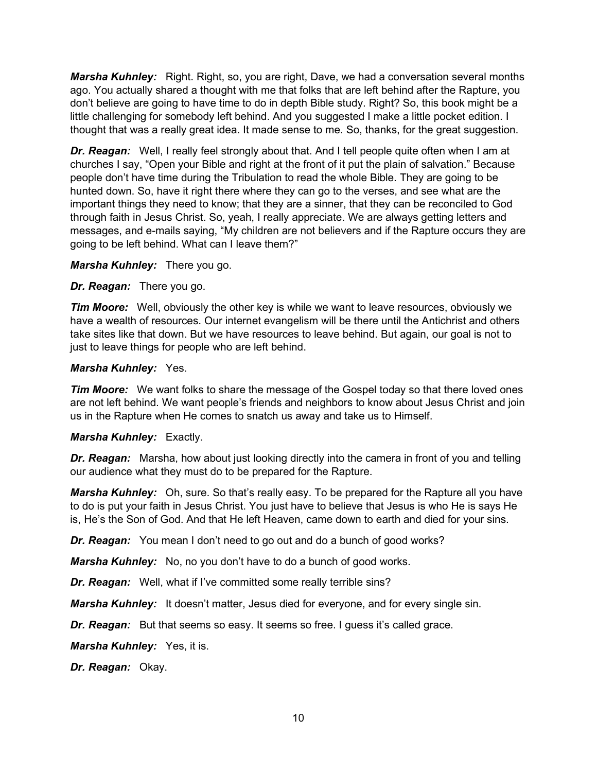*Marsha Kuhnley:* Right. Right, so, you are right, Dave, we had a conversation several months ago. You actually shared a thought with me that folks that are left behind after the Rapture, you don't believe are going to have time to do in depth Bible study. Right? So, this book might be a little challenging for somebody left behind. And you suggested I make a little pocket edition. I thought that was a really great idea. It made sense to me. So, thanks, for the great suggestion.

*Dr. Reagan:* Well, I really feel strongly about that. And I tell people quite often when I am at churches I say, "Open your Bible and right at the front of it put the plain of salvation." Because people don't have time during the Tribulation to read the whole Bible. They are going to be hunted down. So, have it right there where they can go to the verses, and see what are the important things they need to know; that they are a sinner, that they can be reconciled to God through faith in Jesus Christ. So, yeah, I really appreciate. We are always getting letters and messages, and e-mails saying, "My children are not believers and if the Rapture occurs they are going to be left behind. What can I leave them?"

*Marsha Kuhnley:* There you go.

*Dr. Reagan:* There you go.

*Tim Moore:* Well, obviously the other key is while we want to leave resources, obviously we have a wealth of resources. Our internet evangelism will be there until the Antichrist and others take sites like that down. But we have resources to leave behind. But again, our goal is not to just to leave things for people who are left behind.

#### *Marsha Kuhnley:* Yes.

*Tim Moore:* We want folks to share the message of the Gospel today so that there loved ones are not left behind. We want people's friends and neighbors to know about Jesus Christ and join us in the Rapture when He comes to snatch us away and take us to Himself.

#### *Marsha Kuhnley:* Exactly.

*Dr. Reagan:* Marsha, how about just looking directly into the camera in front of you and telling our audience what they must do to be prepared for the Rapture.

*Marsha Kuhnley:* Oh, sure. So that's really easy. To be prepared for the Rapture all you have to do is put your faith in Jesus Christ. You just have to believe that Jesus is who He is says He is, He's the Son of God. And that He left Heaven, came down to earth and died for your sins.

*Dr. Reagan:* You mean I don't need to go out and do a bunch of good works?

*Marsha Kuhnley:* No, no you don't have to do a bunch of good works.

*Dr. Reagan:* Well, what if I've committed some really terrible sins?

*Marsha Kuhnley:* It doesn't matter, Jesus died for everyone, and for every single sin.

*Dr. Reagan:* But that seems so easy. It seems so free. I guess it's called grace.

*Marsha Kuhnley:* Yes, it is.

*Dr. Reagan:* Okay.